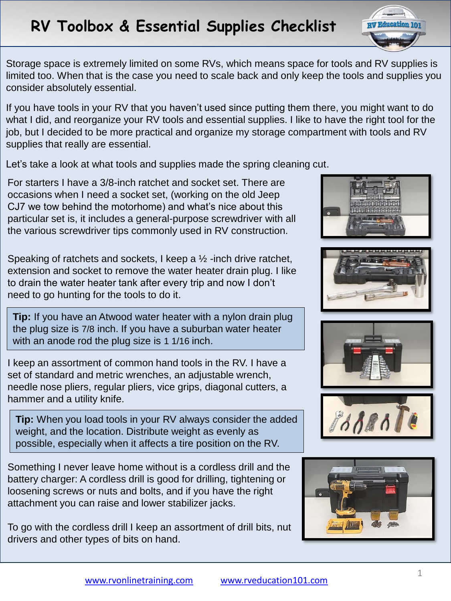## **RV Toolbox & Essential Supplies Checklist**



Storage space is extremely limited on some RVs, which means space for tools and RV supplies is limited too. When that is the case you need to scale back and only keep the tools and supplies you consider absolutely essential.

If you have tools in your RV that you haven't used since putting them there, you might want to do what I did, and reorganize your RV tools and essential supplies. I like to have the right tool for the job, but I decided to be more practical and organize my storage compartment with tools and RV supplies that really are essential.

Let's take a look at what tools and supplies made the spring cleaning cut.

For starters I have a 3/8-inch ratchet and socket set. There are occasions when I need a socket set, (working on the old Jeep CJ7 we tow behind the motorhome) and what's nice about this particular set is, it includes a general-purpose screwdriver with all the various screwdriver tips commonly used in RV construction.

Speaking of ratchets and sockets, I keep a  $\frac{1}{2}$  -inch drive ratchet, extension and socket to remove the water heater drain plug. I like to drain the water heater tank after every trip and now I don't need to go hunting for the tools to do it.

**Tip:** If you have an Atwood water heater with a nylon drain plug the plug size is 7/8 inch. If you have a suburban water heater with an anode rod the plug size is 1 1/16 inch.

I keep an assortment of common hand tools in the RV. I have a set of standard and metric wrenches, an adjustable wrench, needle nose pliers, regular pliers, vice grips, diagonal cutters, a hammer and a utility knife.

**Tip:** When you load tools in your RV always consider the added weight, and the location. Distribute weight as evenly as possible, especially when it affects a tire position on the RV.

Something I never leave home without is a cordless drill and the battery charger: A cordless drill is good for drilling, tightening or loosening screws or nuts and bolts, and if you have the right attachment you can raise and lower stabilizer jacks.

To go with the cordless drill I keep an assortment of drill bits, nut drivers and other types of bits on hand.









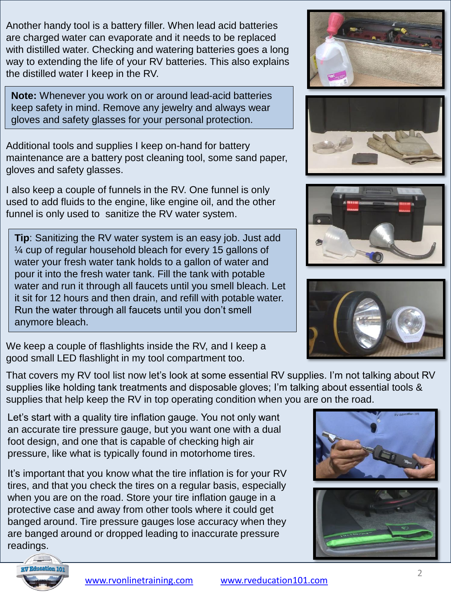Another handy tool is a battery filler. When lead acid batteries are charged water can evaporate and it needs to be replaced with distilled water. Checking and watering batteries goes a long way to extending the life of your RV batteries. This also explains the distilled water I keep in the RV.

**Note:** Whenever you work on or around lead-acid batteries keep safety in mind. Remove any jewelry and always wear gloves and safety glasses for your personal protection.

Additional tools and supplies I keep on-hand for battery maintenance are a battery post cleaning tool, some sand paper, gloves and safety glasses.

I also keep a couple of funnels in the RV. One funnel is only used to add fluids to the engine, like engine oil, and the other funnel is only used to sanitize the RV water system.

**Tip**: Sanitizing the RV water system is an easy job. Just add ¼ cup of regular household bleach for every 15 gallons of water your fresh water tank holds to a gallon of water and pour it into the fresh water tank. Fill the tank with potable water and run it through all faucets until you smell bleach. Let it sit for 12 hours and then drain, and refill with potable water. Run the water through all faucets until you don't smell anymore bleach.

We keep a couple of flashlights inside the RV, and I keep a good small LED flashlight in my tool compartment too.

That covers my RV tool list now let's look at some essential RV supplies. I'm not talking about RV supplies like holding tank treatments and disposable gloves; I'm talking about essential tools & supplies that help keep the RV in top operating condition when you are on the road.

Let's start with a quality tire inflation gauge. You not only want an accurate tire pressure gauge, but you want one with a dual foot design, and one that is capable of checking high air pressure, like what is typically found in motorhome tires.

It's important that you know what the tire inflation is for your RV tires, and that you check the tires on a regular basis, especially when you are on the road. Store your tire inflation gauge in a protective case and away from other tools where it could get banged around. Tire pressure gauges lose accuracy when they are banged around or dropped leading to inaccurate pressure readings.